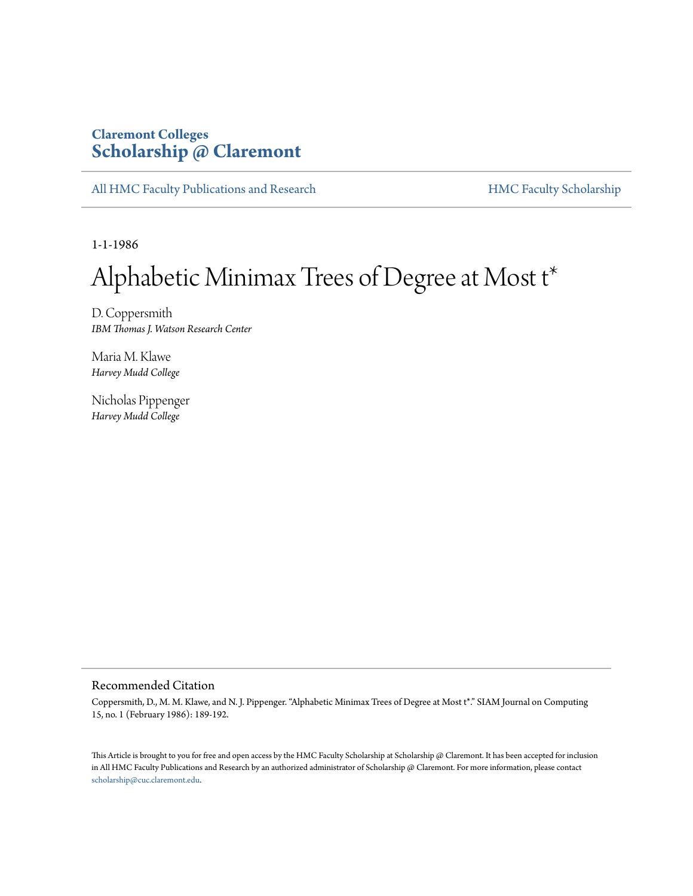# **Claremont Colleges [Scholarship @ Claremont](http://scholarship.claremont.edu)**

[All HMC Faculty Publications and Research](http://scholarship.claremont.edu/hmc_fac_pub) [HMC Faculty Scholarship](http://scholarship.claremont.edu/hmc_faculty)

1-1-1986

# Alphabetic Minimax Trees of Degree at Most t\*

D. Coppersmith *IBM Thomas J. Watson Research Center*

Maria M. Klawe *Harvey Mudd College*

Nicholas Pippenger *Harvey Mudd College*

## Recommended Citation

Coppersmith, D., M. M. Klawe, and N. J. Pippenger. "Alphabetic Minimax Trees of Degree at Most t\*." SIAM Journal on Computing 15, no. 1 (February 1986): 189-192.

This Article is brought to you for free and open access by the HMC Faculty Scholarship at Scholarship @ Claremont. It has been accepted for inclusion in All HMC Faculty Publications and Research by an authorized administrator of Scholarship @ Claremont. For more information, please contact [scholarship@cuc.claremont.edu.](mailto:scholarship@cuc.claremont.edu)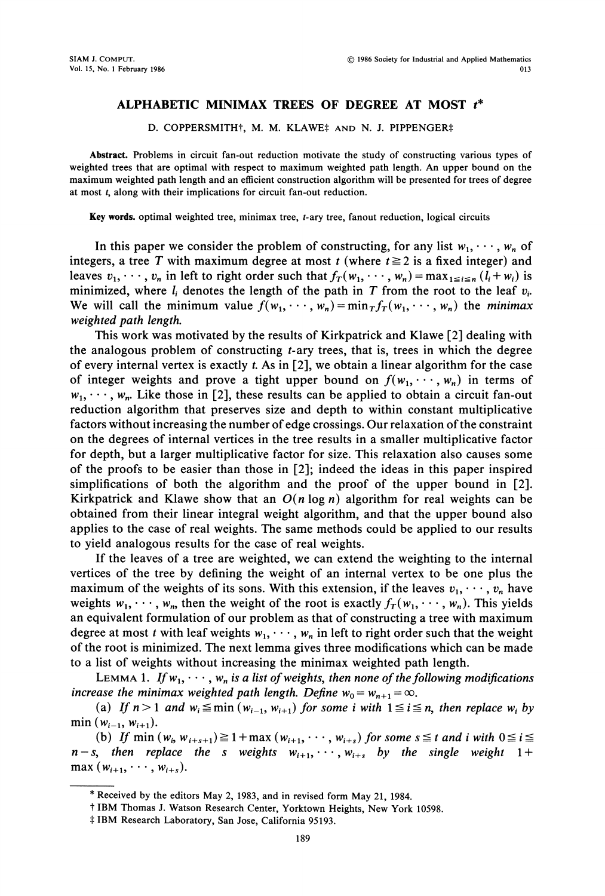### ALPHABETIC MINIMAX TREES OF DEGREE AT MOST t\*

#### D. COPPERSMITH<sup>†</sup>, M. M. KLAWE<sup>‡</sup> AND N. J. PIPPENGER‡

Abstract. Problems in circuit fan-out reduction motivate the study of constructing various types of weighted trees that are optimal with respect to maximum weighted path length. An upper bound on the maximum weighted path length and an efficient construction algorithm will be presented for trees of degree at most t, along with their implications for circuit fan-out reduction.

Key words, optimal weighted tree, minimax tree, t-ary tree, fanout reduction, logical circuits

In this paper we consider the problem of constructing, for any list  $w_1, \dots, w_n$  of integers, a tree T with maximum degree at most t (where  $t \ge 2$  is a fixed integer) and leaves  $v_1, \dots, v_n$  in left to right order such that  $f_T(w_1, \dots, w_n) = \max_{1 \le i \le n} (l_i + w_i)$  is minimized, where  $l_i$  denotes the length of the path in T from the root to the leaf  $v_i$ . We will call the minimum value  $f(w_1, \dots, w_n) = \min_T f_T(w_1, \dots, w_n)$  the minimax weighted path length.

This work was motivated by the results of Kirkpatrick and Klawe [2] dealing with the analogous problem of constructing t-ary trees, that is, trees in which the degree of every internal vertex is exactly t. As in [2], we obtain a linear algorithm for the case of integer weights and prove a tight upper bound on  $f(w_1, \dots, w_n)$  in terms of  $w_1, \dots, w_n$ . Like those in [2], these results can be applied to obtain a circuit fan-out reduction algorithm that preserves size and depth to within constant multiplicative factors without increasing the number of edge crossings. Our relaxation ofthe constraint on the degrees of internal vertices in the tree results in a smaller multiplicative factor for depth, but a larger multiplicative factor for size. This relaxation also causes some of the proofs to be easier than those in [2]; indeed the ideas in this paper inspired simplifications of both the algorithm and the proof of the upper bound in [2]. Kirkpatrick and Klawe show that an  $O(n \log n)$  algorithm for real weights can be obtained from their linear integral weight algorithm, and that the upper bound also applies to the case of real weights. The same methods could be applied to our results to yield analogous results for the case of real weights.

If the leaves of a tree are weighted, we can extend the weighting to the internal vertices of the tree by defining the weight of an internal vertex to be one plus the maximum of the weights of its sons. With this extension, if the leaves  $v_1, \dots, v_n$  have weights  $w_1, \dots, w_n$ , then the weight of the root is exactly  $f_T(w_1, \dots, w_n)$ . This yields an equivalent formulation of our problem as that of constructing a tree with maximum degree at most t with leaf weights  $w_1, \dots, w_n$  in left to right order such that the weight of the root is minimized. The next lemma gives three modifications which can be made to a list of weights without increasing the minimax weighted path length.

LEMMA 1. If  $w_1, \dots, w_n$  is a list of weights, then none of the following modifications increase the minimax weighted path length. Define  $w_0 = w_{n+1} = \infty$ .

(a) If  $n>1$  and  $w_i \leq \min (w_{i-1}, w_{i+1})$  for some i with  $1 \leq i \leq n$ , then replace  $w_i$  by min  $(w_{i-1}, w_{i+1})$ .

(b) If min  $(w_i, w_{i+s+1}) \ge 1$  + max  $(w_{i+1}, \dots, w_{i+s})$  for some  $s \le t$  and i with  $0 \le i \le$  $n-s$ , then replace the s weights  $w_{i+1}, \dots, w_{i+s}$  by the single weight 1+  $\max (w_{i+1}, \dots, w_{i+s}).$ 

<sup>\*</sup> Received by the editors May 2, 1983, and in revised form May 21, 1984.

<sup>t</sup> IBM Thomas J. Watson Research Center, Yorktown Heights, New York 10598.

<sup>\$</sup> IBM Research Laboratory, San Jose, California 95193.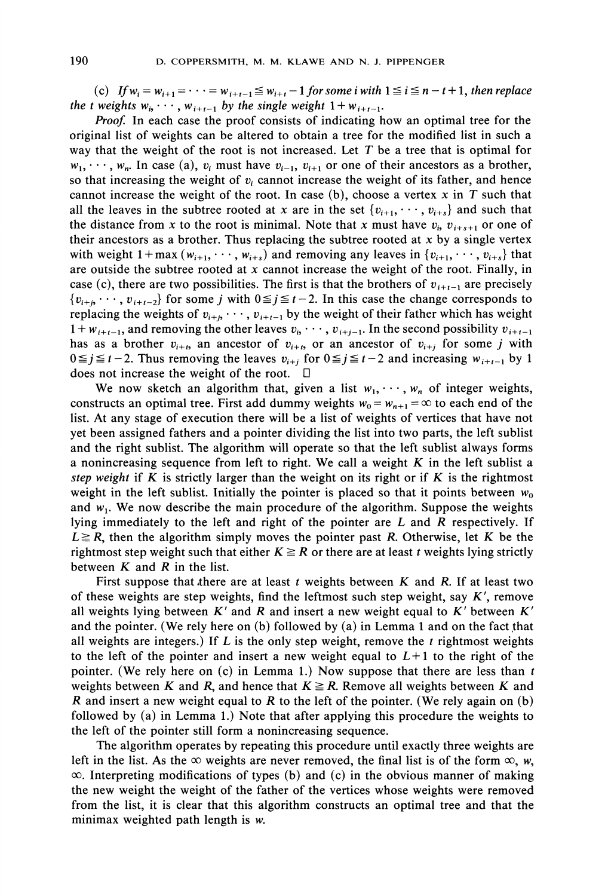(c) If  $w_i = w_{i+1} = \cdots = w_{i+t-1} \le w_{i+t} - 1$  for some i with  $1 \le i \le n-t+1$ , then replace the t weights  $w_i, \dots, w_{i+t-1}$  by the single weight  $1 + w_{i+t-1}$ .

Proof. In each case the proof consists of indicating how an optimal tree for the original list of weights can be altered to obtain a tree for the modified list in such a way that the weight of the root is not increased. Let  $T$  be a tree that is optimal for  $w_1, \dots, w_n$ . In case (a),  $v_i$  must have  $v_{i-1}, v_{i+1}$  or one of their ancestors as a brother, so that increasing the weight of  $v_i$  cannot increase the weight of its father, and hence cannot increase the weight of the root. In case (b), choose a vertex  $x$  in  $T$  such that all the leaves in the subtree rooted at x are in the set  $\{v_{i+1}, \dots, v_{i+s}\}$  and such that the distance from x to the root is minimal. Note that x must have  $v_i$ ,  $v_{i+s+1}$  or one of their ancestors as a brother. Thus replacing the subtree rooted at  $x$  by a single vertex with weight  $1 + \max(w_{i+1}, \dots, w_{i+s})$  and removing any leaves in  $\{v_{i+1}, \dots, v_{i+s}\}\$  that are outside the subtree rooted at  $x$  cannot increase the weight of the root. Finally, in case (c), there are two possibilities. The first is that the brothers of  $v_{i+t-1}$  are precisely  $\{v_{i+j}, \dots, v_{i+t-2}\}\$  for some j with  $0 \leq j \leq t-2$ . In this case the change corresponds to replacing the weights of  $v_{i+j}, \dots, v_{i+t-1}$  by the weight of their father which has weight  $1 + w_{i+t-1}$ , and removing the other leaves  $v_i, \dots, v_{i+j-1}$ . In the second possibility  $v_{i+t-1}$ has as a brother  $v_{i+t}$ , an ancestor of  $v_{i+t}$ , or an ancestor of  $v_{i+t}$  for some j with  $0 \le j \le t-2$ . Thus removing the leaves  $v_{i+j}$  for  $0 \le j \le t-2$  and increasing  $w_{i+t-1}$  by 1 does not increase the weight of the root.  $\square$ 

We now sketch an algorithm that, given a list  $w_1, \dots, w_n$  of integer weights, constructs an optimal tree. First add dummy weights  $w_0 = w_{n+1} = \infty$  to each end of the list. At any stage of execution there will be a list of weights of vertices that have not yet been assigned fathers and a pointer dividing the list into two parts, the left sublist and the right sublist. The algorithm will operate so that the left sublist always forms a nonincreasing sequence from left to right. We call a weight  $K$  in the left sublist a step weight if K is strictly larger than the weight on its right or if K is the rightmost weight in the left sublist. Initially the pointer is placed so that it points between  $w_0$ and  $w_1$ . We now describe the main procedure of the algorithm. Suppose the weights lying immediately to the left and right of the pointer are  $L$  and  $R$  respectively. If  $L \geq R$ , then the algorithm simply moves the pointer past R. Otherwise, let K be the rightmost step weight such that either  $K \geq R$  or there are at least t weights lying strictly between  $K$  and  $R$  in the list.

First suppose that there are at least  $t$  weights between  $K$  and  $R$ . If at least two of these weights are step weights, find the leftmost such step weight, say  $K'$ , remove all weights lying between  $K'$  and  $R$  and insert a new weight equal to  $K'$  between  $K'$ and the pointer. (We rely here on  $(b)$  followed by  $(a)$  in Lemma 1 and on the fact that all weights are integers.) If  $L$  is the only step weight, remove the  $t$  rightmost weights to the left of the pointer and insert a new weight equal to  $L+1$  to the right of the pointer. (We rely here on (c) in Lemma 1.) Now suppose that there are less than  $t$ weights between K and R, and hence that  $K \ge R$ . Remove all weights between K and R and insert a new weight equal to R to the left of the pointer. (We rely again on  $(b)$ ) followed by (a) in Lemma 1.) Note that after applying this procedure the weights to the left of the pointer still form a nonincreasing sequence.

The algorithm operates by repeating this procedure until exactly three weights are left in the list. As the  $\infty$  weights are never removed, the final list is of the form  $\infty$ , w,  $\infty$ . Interpreting modifications of types (b) and (c) in the obvious manner of making the new weight the weight of the father of the vertices whose weights were removed from the list, it is clear that this algorithm constructs an optimal tree and that the minimax weighted path length is w.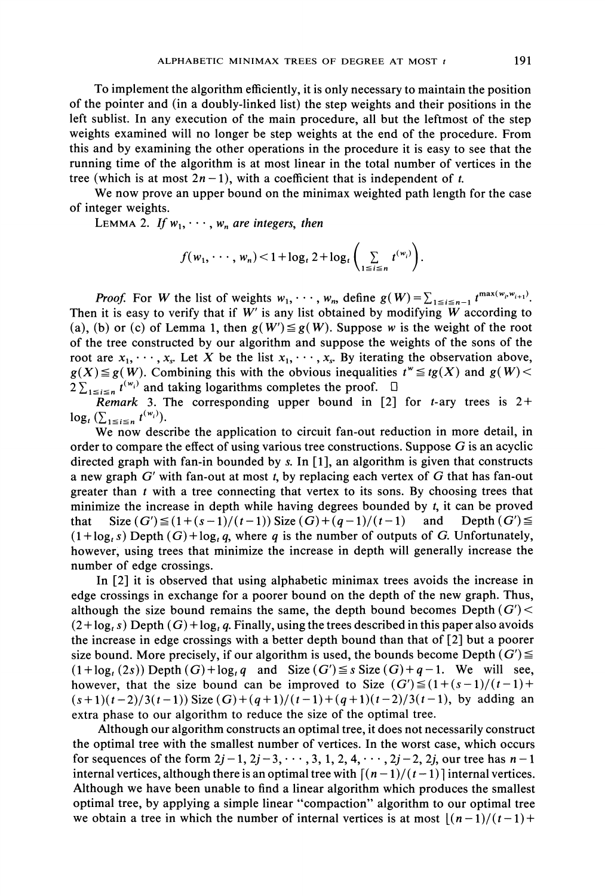To implement the algorithm efficiently, it is only necessary to maintain the position of the pointer and (in a doubly-linked list) the step weights and their positions in the left sublist. In any execution of the main procedure, all but the leftmost of the step weights examined will no longer be step weights at the end of the procedure. From this and by examining the other operations in the procedure it is easy to see that the running time of the algorithm is at most linear in the total number of vertices in the tree (which is at most  $2n - 1$ ), with a coefficient that is independent of t.

We now prove an upper bound on the minimax weighted path length for the case of integer weights.

LEMMA 2. If  $w_1, \dots, w_n$  are integers, then

$$
f(w_1,\dots,w_n) < 1 + \log_t 2 + \log_t \left( \sum_{1 \leq i \leq n} t^{(w_i)} \right).
$$

**Proof.** For W the list of weights  $w_1, \dots, w_n$ , define  $g(W) = \sum_{1 \le i \le n-1} t^{\max(w_i, w_{i+1})}$ . Then it is easy to verify that if  $W'$  is any list obtained by modifying  $W$  according to (a), (b) or (c) of Lemma 1, then  $g(W') \leq g(W)$ . Suppose w is the weight of the root of the tree constructed by our algorithm and suppose the weights of the sons of the root are  $x_1, \dots, x_s$ . Let X be the list  $x_1, \dots, x_s$ . By iterating the observation above,  $g(X) \leq g(W)$ . Combining this with the obvious inequalities  $t^w \leq tg(X)$  and  $g(W)$  $2 \sum_{1 \le i \le n} t^{(w_i)}$  and taking logarithms completes the proof.  $\Box$ 

Remark 3. The corresponding upper bound in [2] for *t*-ary trees is  $2+$  $\log_t (\sum_{1 \leq i \leq n} t^{(w_i)}).$ 

We now describe the application to circuit fan-out reduction in more detail, in order to compare the effect of using various tree constructions. Suppose  $G$  is an acyclic directed graph with fan-in bounded by s. In  $[1]$ , an algorithm is given that constructs a new graph  $G'$  with fan-out at most t, by replacing each vertex of  $G$  that has fan-out greater than  $t$  with a tree connecting that vertex to its sons. By choosing trees that minimize the increase in depth while having degrees bounded by  $t$ , it can be proved that  $Size(G') \leq (1 + (s - 1)/(t - 1))$  Size  $(G) + (q - 1)/(t - 1)$  and Depth  $(G') \leq$  $(1 + \log_{1} s)$  Depth  $(G) + \log_{1} q$ , where q is the number of outputs of G. Unfortunately, however, using trees that minimize the increase in depth will generally increase the number of edge crossings.

In [2] it is observed that using alphabetic minimax trees avoids the increase in edge crossings in exchange for a poorer bound on the depth of the new graph. Thus, although the size bound remains the same, the depth bound becomes Depth  $(G')$  <  $(2 + \log_{1} s)$  Depth  $(G) + \log_{1} q$ . Finally, using the trees described in this paper also avoids the increase in edge crossings with a better depth bound than that of [2] but a poorer size bound. More precisely, if our algorithm is used, the bounds become Depth  $(G') \leq$  $(1 + \log_{t}(2s))$  Depth  $(G) + \log_{t} q$  and Size  $(G') \leq s$  Size  $(G) + q - 1$ . We will see, however, that the size bound can be improved to Size  $(G') \leq (1 + (s - 1)/(t - 1) +$  $(s+1)(t-2)/3(t-1)$ ) Size  $(G)+(q+1)/(t-1)+(q+1)(t-2)/3(t-1)$ , by adding an extra phase to our algorithm to reduce the size of the optimal tree.

Although our algorithm constructs an optimal tree, it does not necessarily construct the optimal tree with the smallest number of vertices. In the worst case, which occurs for sequences of the form  $2j-1$ ,  $2j-3$ ,  $\cdots$ , 3, 1, 2, 4,  $\cdots$ ,  $2j-2$ , 2j, our tree has  $n-1$ internal vertices, although there is an optimal tree with  $[(n-1)/(t-1)]$  internal vertices. Although we have been unable to find a linear algorithm which produces the smallest optimal tree, by applying a simple linear "compaction" algorithm to our optimal tree we obtain a tree in which the number of internal vertices is at most  $\frac{|(n-1)}{(t-1)+1}$